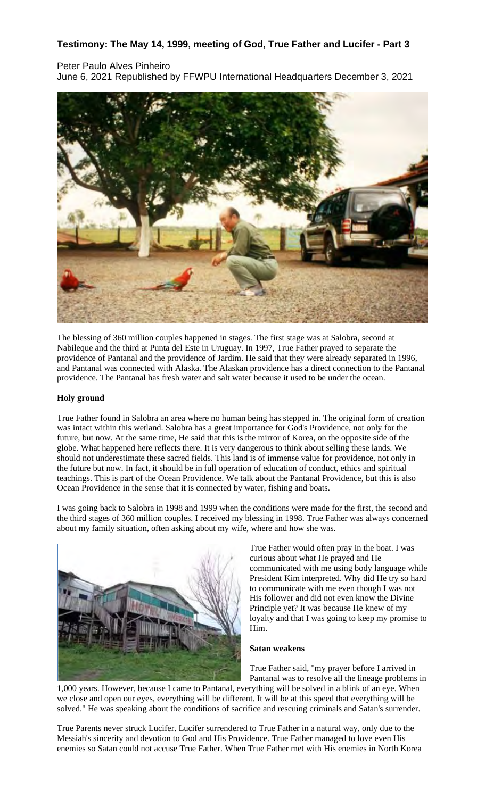# **Testimony: The May 14, 1999, meeting of God, True Father and Lucifer - Part 3**

## Peter Paulo Alves Pinheiro

June 6, 2021 Republished by FFWPU International Headquarters December 3, 2021



The blessing of 360 million couples happened in stages. The first stage was at Salobra, second at Nabileque and the third at Punta del Este in Uruguay. In 1997, True Father prayed to separate the providence of Pantanal and the providence of Jardim. He said that they were already separated in 1996, and Pantanal was connected with Alaska. The Alaskan providence has a direct connection to the Pantanal providence. The Pantanal has fresh water and salt water because it used to be under the ocean.

### **Holy ground**

True Father found in Salobra an area where no human being has stepped in. The original form of creation was intact within this wetland. Salobra has a great importance for God's Providence, not only for the future, but now. At the same time, He said that this is the mirror of Korea, on the opposite side of the globe. What happened here reflects there. It is very dangerous to think about selling these lands. We should not underestimate these sacred fields. This land is of immense value for providence, not only in the future but now. In fact, it should be in full operation of education of conduct, ethics and spiritual teachings. This is part of the Ocean Providence. We talk about the Pantanal Providence, but this is also Ocean Providence in the sense that it is connected by water, fishing and boats.

I was going back to Salobra in 1998 and 1999 when the conditions were made for the first, the second and the third stages of 360 million couples. I received my blessing in 1998. True Father was always concerned about my family situation, often asking about my wife, where and how she was.



True Father would often pray in the boat. I was curious about what He prayed and He communicated with me using body language while President Kim interpreted. Why did He try so hard to communicate with me even though I was not His follower and did not even know the Divine Principle yet? It was because He knew of my loyalty and that I was going to keep my promise to Him.

#### **Satan weakens**

True Father said, "my prayer before I arrived in Pantanal was to resolve all the lineage problems in

1,000 years. However, because I came to Pantanal, everything will be solved in a blink of an eye. When we close and open our eyes, everything will be different. It will be at this speed that everything will be solved." He was speaking about the conditions of sacrifice and rescuing criminals and Satan's surrender.

True Parents never struck Lucifer. Lucifer surrendered to True Father in a natural way, only due to the Messiah's sincerity and devotion to God and His Providence. True Father managed to love even His enemies so Satan could not accuse True Father. When True Father met with His enemies in North Korea